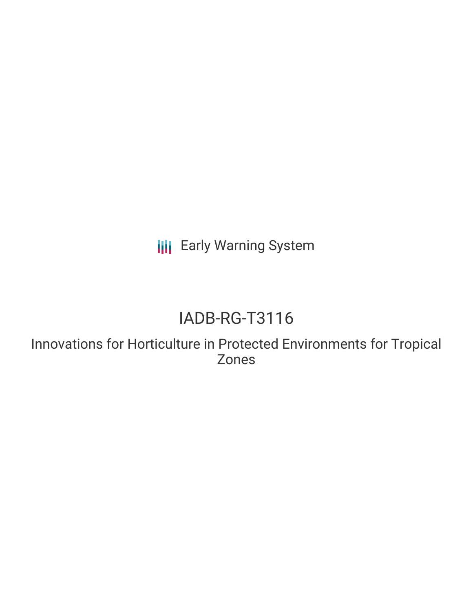**III** Early Warning System

# IADB-RG-T3116

Innovations for Horticulture in Protected Environments for Tropical Zones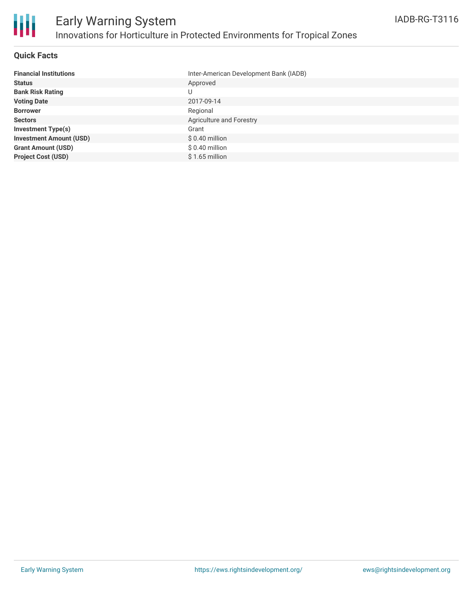

### **Quick Facts**

| <b>Financial Institutions</b>  | Inter-American Development Bank (IADB) |
|--------------------------------|----------------------------------------|
| <b>Status</b>                  | Approved                               |
| <b>Bank Risk Rating</b>        | U                                      |
| <b>Voting Date</b>             | 2017-09-14                             |
| <b>Borrower</b>                | Regional                               |
| <b>Sectors</b>                 | Agriculture and Forestry               |
| <b>Investment Type(s)</b>      | Grant                                  |
| <b>Investment Amount (USD)</b> | $$0.40$ million                        |
| <b>Grant Amount (USD)</b>      | $$0.40$ million                        |
| <b>Project Cost (USD)</b>      | $$1.65$ million                        |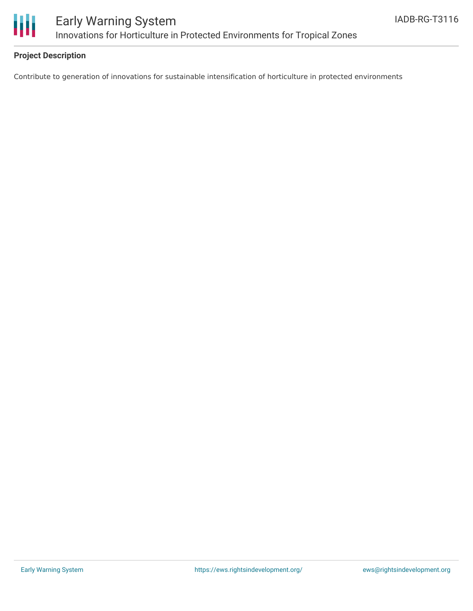

### **Project Description**

Contribute to generation of innovations for sustainable intensification of horticulture in protected environments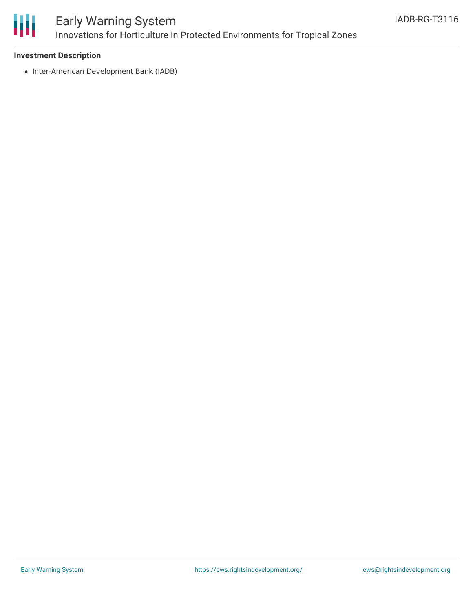

## Early Warning System Innovations for Horticulture in Protected Environments for Tropical Zones

### **Investment Description**

• Inter-American Development Bank (IADB)